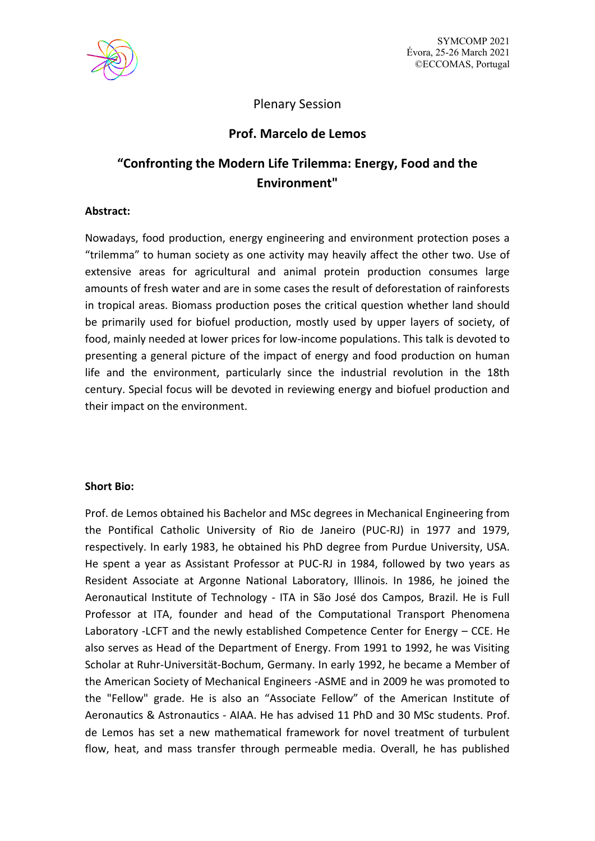

## Plenary Session

## **Prof. Marcelo de Lemos**

# **"Confronting the Modern Life Trilemma: Energy, Food and the Environment"**

### **Abstract:**

Nowadays, food production, energy engineering and environment protection poses a "trilemma" to human society as one activity may heavily affect the other two. Use of extensive areas for agricultural and animal protein production consumes large amounts of fresh water and are in some cases the result of deforestation of rainforests in tropical areas. Biomass production poses the critical question whether land should be primarily used for biofuel production, mostly used by upper layers of society, of food, mainly needed at lower prices for low-income populations. This talk is devoted to presenting a general picture of the impact of energy and food production on human life and the environment, particularly since the industrial revolution in the 18th century. Special focus will be devoted in reviewing energy and biofuel production and their impact on the environment.

### **Short Bio:**

Prof. de Lemos obtained his Bachelor and MSc degrees in Mechanical Engineering from the Pontifical Catholic University of Rio de Janeiro (PUC-RJ) in 1977 and 1979, respectively. In early 1983, he obtained his PhD degree from Purdue University, USA. He spent a year as Assistant Professor at PUC-RJ in 1984, followed by two years as Resident Associate at Argonne National Laboratory, Illinois. In 1986, he joined the Aeronautical Institute of Technology - ITA in São José dos Campos, Brazil. He is Full Professor at ITA, founder and head of the Computational Transport Phenomena Laboratory -LCFT and the newly established Competence Center for Energy – CCE. He also serves as Head of the Department of Energy. From 1991 to 1992, he was Visiting Scholar at Ruhr-Universität-Bochum, Germany. In early 1992, he became a Member of the American Society of Mechanical Engineers -ASME and in 2009 he was promoted to the "Fellow" grade. He is also an "Associate Fellow" of the American Institute of Aeronautics & Astronautics - AIAA. He has advised 11 PhD and 30 MSc students. Prof. de Lemos has set a new mathematical framework for novel treatment of turbulent flow, heat, and mass transfer through permeable media. Overall, he has published